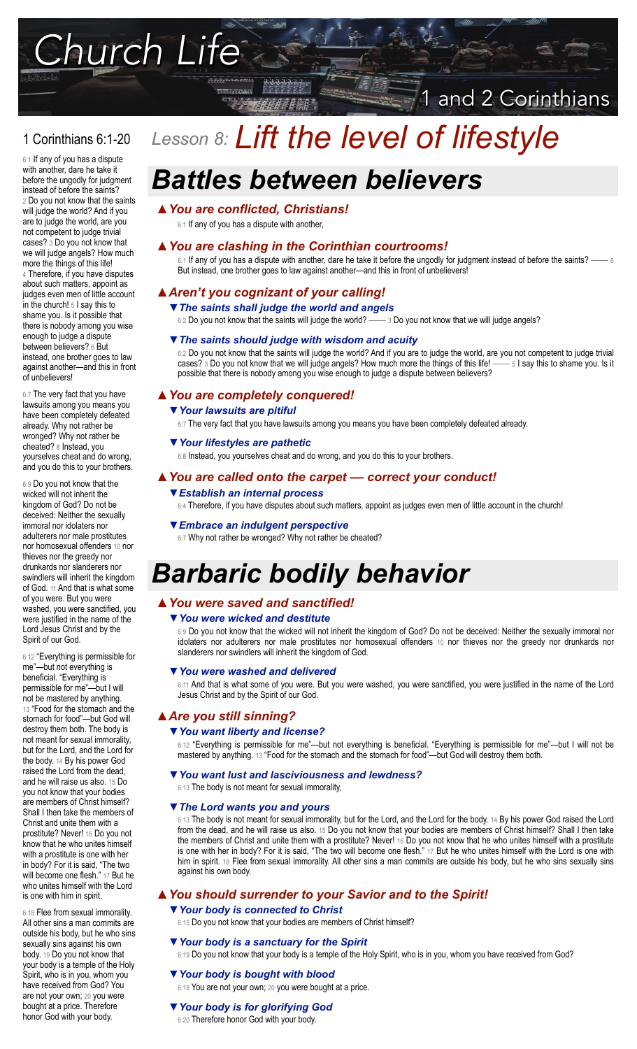*Church Life*

磁盘性能

# 1 Corinthians 6:1-20

6:1 If any of you has a dispute with another, dare he take it before the ungodly for judgment instead of before the saints? 2 Do you not know that the saints will judge the world? And if you are to judge the world, are you not competent to judge trivial cases? 3 Do you not know that we will judge angels? How much more the things of this life! 4 Therefore, if you have disputes about such matters, appoint as judges even men of little account in the church! 5 I say this to shame you. Is it possible that there is nobody among you wise enough to judge a dispute between believers? 6 But instead, one brother goes to law against another—and this in front of unbelievers!

6:7 The very fact that you have lawsuits among you means you have been completely defeated already. Why not rather be wronged? Why not rather be cheated? 8 Instead, you yourselves cheat and do wrong, and you do this to your brothers.

6:9 Do you not know that the wicked will not inherit the kingdom of God? Do not be deceived: Neither the sexually immoral nor idolaters nor adulterers nor male prostitutes nor homosexual offenders 10 nor thieves nor the greedy nor drunkards nor slanderers nor swindlers will inherit the kingdom of God. 11 And that is what some of you were. But you were washed, you were sanctified, you were justified in the name of the Lord Jesus Christ and by the Spirit of our God.

6:12 "Everything is permissible for me"—but not everything is beneficial. "Everything is permissible for me"—but I will not be mastered by anything. 13 "Food for the stomach and the stomach for food"—but God will destroy them both. The body is not meant for sexual immorality, but for the Lord, and the Lord for the body. 14 By his power God raised the Lord from the dead, and he will raise us also. 15 Do you not know that your bodies are members of Christ himself? Shall I then take the members of Christ and unite them with a prostitute? Never! 16 Do you not know that he who unites himself with a prostitute is one with her in body? For it is said, "The two will become one flesh." 17 But he who unites himself with the Lord is one with him in spirit.

6:18 Flee from sexual immorality. All other sins a man commits are outside his body, but he who sins sexually sins against his own body. 19 Do you not know that your body is a temple of the Holy Spirit, who is in you, whom you have received from God? You are not your own; 20 you were bought at a price. Therefore honor God with your body.

# *Lesson 8: Lift the level of lifestyle*

# *Battles between believers*

# *▲You are conflicted, Christians!*

6:1 If any of you has a dispute with another,

## *▲You are clashing in the Corinthian courtrooms!*

 $6:1$  If any of you has a dispute with another, dare he take it before the ungodly for judgment instead of before the saints?  $-\!\!-\!\!-6$ But instead, one brother goes to law against another—and this in front of unbelievers!

1 and 2 Corinthians

# *▲Aren't you cognizant of your calling!*

# *▼The saints shall judge the world and angels*

6:2 Do you not know that the saints will judge the world? ----- 3 Do you not know that we will judge angels?

#### *▼The saints should judge with wisdom and acuity*

6:2 Do you not know that the saints will judge the world? And if you are to judge the world, are you not competent to judge trivial cases? 3 Do you not know that we will judge angels? How much more the things of this life! —— 5 I say this to shame you. Is it possible that there is nobody among you wise enough to judge a dispute between believers?

## *▲You are completely conquered!*

#### *▼Your lawsuits are pitiful*

6:7 The very fact that you have lawsuits among you means you have been completely defeated already.

#### *▼Your lifestyles are pathetic*

6:8 Instead, you yourselves cheat and do wrong, and you do this to your brothers.

# *▲You are called onto the carpet –– correct your conduct!*

### *▼Establish an internal process*

6:4 Therefore, if you have disputes about such matters, appoint as judges even men of little account in the church!

#### *▼Embrace an indulgent perspective*

6:7 Why not rather be wronged? Why not rather be cheated?

# *Barbaric bodily behavior*

# *▲You were saved and sanctified!*

#### *▼You were wicked and destitute*

6:9 Do you not know that the wicked will not inherit the kingdom of God? Do not be deceived: Neither the sexually immoral nor idolaters nor adulterers nor male prostitutes nor homosexual offenders 10 nor thieves nor the greedy nor drunkards nor slanderers nor swindlers will inherit the kingdom of God.

#### *▼You were washed and delivered*

6:11 And that is what some of you were. But you were washed, you were sanctified, you were justified in the name of the Lord Jesus Christ and by the Spirit of our God.

# *▲Are you still sinning?*

#### *▼You want liberty and license?*

6:12 "Everything is permissible for me"-but not everything is beneficial. "Everything is permissible for me"-but I will not be mastered by anything. 13 "Food for the stomach and the stomach for food"—but God will destroy them both.

#### *▼You want lust and lasciviousness and lewdness?*

6:13 The body is not meant for sexual immorality,

#### *▼The Lord wants you and yours*

6:13 The body is not meant for sexual immorality, but for the Lord, and the Lord for the body. 14 By his power God raised the Lord from the dead, and he will raise us also. 15 Do you not know that your bodies are members of Christ himself? Shall I then take the members of Christ and unite them with a prostitute? Never! 16 Do you not know that he who unites himself with a prostitute is one with her in body? For it is said, "The two will become one flesh." 17 But he who unites himself with the Lord is one with him in spirit. 18 Flee from sexual immorality. All other sins a man commits are outside his body, but he who sins sexually sins against his own body.

# *▲You should surrender to your Savior and to the Spirit!*

## *▼Your body is connected to Christ*

6:15 Do you not know that your bodies are members of Christ himself?

## *▼Your body is a sanctuary for the Spirit*

6:19 Do you not know that your body is a temple of the Holy Spirit, who is in you, whom you have received from God?

#### *▼Your body is bought with blood*

6:19 You are not your own; 20 you were bought at a price.

### *▼Your body is for glorifying God*

6:20 Therefore honor God with your body.